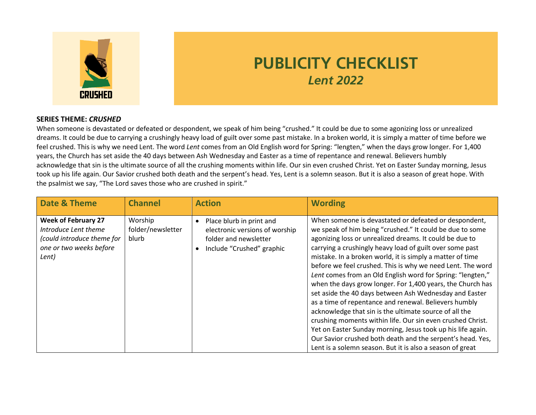

## **PUBLICITY CHECKLIST** *Lent 2022*

## **SERIES THEME:** *CRUSHED*

When someone is devastated or defeated or despondent, we speak of him being "crushed." It could be due to some agonizing loss or unrealized dreams. It could be due to carrying a crushingly heavy load of guilt over some past mistake. In a broken world, it is simply a matter of time before we feel crushed. This is why we need Lent. The word *Lent* comes from an Old English word for Spring: "lengten," when the days grow longer. For 1,400 years, the Church has set aside the 40 days between Ash Wednesday and Easter as a time of repentance and renewal. Believers humbly acknowledge that sin is the ultimate source of all the crushing moments within life. Our sin even crushed Christ. Yet on Easter Sunday morning, Jesus took up his life again. Our Savior crushed both death and the serpent's head. Yes, Lent is a solemn season. But it is also a season of great hope. With the psalmist we say, "The Lord saves those who are crushed in spirit."

| Date & Theme                                                                                                         | <b>Channel</b>                        | <b>Action</b>                                                                                                                 | <b>Wording</b>                                                                                                                                                                                                                                                                                                                                                                                                                                                                                                                                                                                                                                                                                                                                                                                                                                                                                                                       |
|----------------------------------------------------------------------------------------------------------------------|---------------------------------------|-------------------------------------------------------------------------------------------------------------------------------|--------------------------------------------------------------------------------------------------------------------------------------------------------------------------------------------------------------------------------------------------------------------------------------------------------------------------------------------------------------------------------------------------------------------------------------------------------------------------------------------------------------------------------------------------------------------------------------------------------------------------------------------------------------------------------------------------------------------------------------------------------------------------------------------------------------------------------------------------------------------------------------------------------------------------------------|
| <b>Week of February 27</b><br>Introduce Lent theme<br>(could introduce theme for<br>one or two weeks before<br>Lent) | Worship<br>folder/newsletter<br>blurb | Place blurb in print and<br>$\bullet$<br>electronic versions of worship<br>folder and newsletter<br>Include "Crushed" graphic | When someone is devastated or defeated or despondent,<br>we speak of him being "crushed." It could be due to some<br>agonizing loss or unrealized dreams. It could be due to<br>carrying a crushingly heavy load of guilt over some past<br>mistake. In a broken world, it is simply a matter of time<br>before we feel crushed. This is why we need Lent. The word<br>Lent comes from an Old English word for Spring: "lengten,"<br>when the days grow longer. For 1,400 years, the Church has<br>set aside the 40 days between Ash Wednesday and Easter<br>as a time of repentance and renewal. Believers humbly<br>acknowledge that sin is the ultimate source of all the<br>crushing moments within life. Our sin even crushed Christ.<br>Yet on Easter Sunday morning, Jesus took up his life again.<br>Our Savior crushed both death and the serpent's head. Yes,<br>Lent is a solemn season. But it is also a season of great |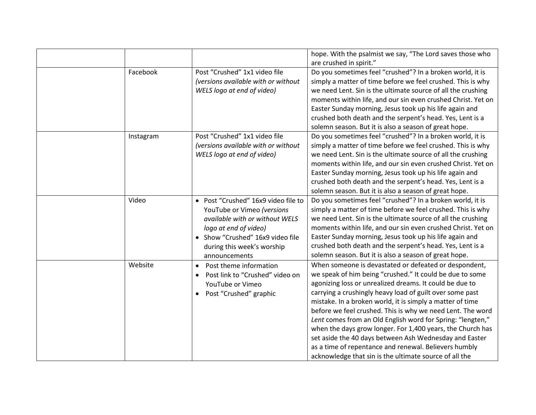|           |                                              | hope. With the psalmist we say, "The Lord saves those who    |
|-----------|----------------------------------------------|--------------------------------------------------------------|
|           |                                              |                                                              |
|           |                                              | are crushed in spirit."                                      |
| Facebook  | Post "Crushed" 1x1 video file                | Do you sometimes feel "crushed"? In a broken world, it is    |
|           | (versions available with or without          | simply a matter of time before we feel crushed. This is why  |
|           | WELS logo at end of video)                   | we need Lent. Sin is the ultimate source of all the crushing |
|           |                                              | moments within life, and our sin even crushed Christ. Yet on |
|           |                                              | Easter Sunday morning, Jesus took up his life again and      |
|           |                                              | crushed both death and the serpent's head. Yes, Lent is a    |
|           |                                              | solemn season. But it is also a season of great hope.        |
| Instagram | Post "Crushed" 1x1 video file                | Do you sometimes feel "crushed"? In a broken world, it is    |
|           | (versions available with or without          | simply a matter of time before we feel crushed. This is why  |
|           | WELS logo at end of video)                   | we need Lent. Sin is the ultimate source of all the crushing |
|           |                                              | moments within life, and our sin even crushed Christ. Yet on |
|           |                                              | Easter Sunday morning, Jesus took up his life again and      |
|           |                                              | crushed both death and the serpent's head. Yes, Lent is a    |
|           |                                              | solemn season. But it is also a season of great hope.        |
| Video     | • Post "Crushed" 16x9 video file to          | Do you sometimes feel "crushed"? In a broken world, it is    |
|           | YouTube or Vimeo (versions                   | simply a matter of time before we feel crushed. This is why  |
|           | available with or without WELS               | we need Lent. Sin is the ultimate source of all the crushing |
|           | logo at end of video)                        | moments within life, and our sin even crushed Christ. Yet on |
|           | • Show "Crushed" 16x9 video file             | Easter Sunday morning, Jesus took up his life again and      |
|           | during this week's worship                   | crushed both death and the serpent's head. Yes, Lent is a    |
|           | announcements                                | solemn season. But it is also a season of great hope.        |
| Website   | Post theme information<br>$\bullet$          | When someone is devastated or defeated or despondent,        |
|           | Post link to "Crushed" video on<br>$\bullet$ | we speak of him being "crushed." It could be due to some     |
|           | YouTube or Vimeo                             | agonizing loss or unrealized dreams. It could be due to      |
|           | Post "Crushed" graphic                       | carrying a crushingly heavy load of guilt over some past     |
|           |                                              | mistake. In a broken world, it is simply a matter of time    |
|           |                                              | before we feel crushed. This is why we need Lent. The word   |
|           |                                              | Lent comes from an Old English word for Spring: "lengten,"   |
|           |                                              | when the days grow longer. For 1,400 years, the Church has   |
|           |                                              | set aside the 40 days between Ash Wednesday and Easter       |
|           |                                              | as a time of repentance and renewal. Believers humbly        |
|           |                                              | acknowledge that sin is the ultimate source of all the       |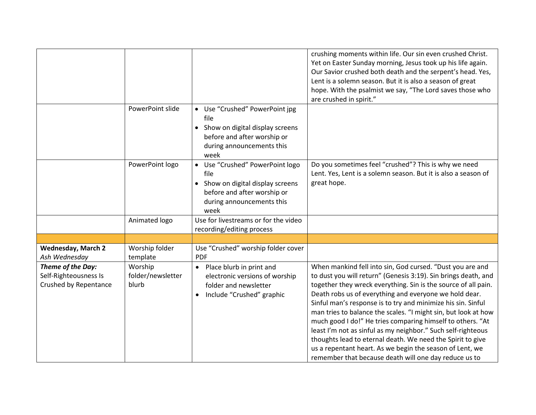|                                                                     |                                       |                                                                                                                                                  | crushing moments within life. Our sin even crushed Christ.<br>Yet on Easter Sunday morning, Jesus took up his life again.<br>Our Savior crushed both death and the serpent's head. Yes,<br>Lent is a solemn season. But it is also a season of great<br>hope. With the psalmist we say, "The Lord saves those who<br>are crushed in spirit."                                                                                                                                                                                                                                                                                                                                                               |
|---------------------------------------------------------------------|---------------------------------------|--------------------------------------------------------------------------------------------------------------------------------------------------|------------------------------------------------------------------------------------------------------------------------------------------------------------------------------------------------------------------------------------------------------------------------------------------------------------------------------------------------------------------------------------------------------------------------------------------------------------------------------------------------------------------------------------------------------------------------------------------------------------------------------------------------------------------------------------------------------------|
|                                                                     | PowerPoint slide                      | • Use "Crushed" PowerPoint jpg<br>file<br>• Show on digital display screens<br>before and after worship or<br>during announcements this<br>week  |                                                                                                                                                                                                                                                                                                                                                                                                                                                                                                                                                                                                                                                                                                            |
|                                                                     | PowerPoint logo                       | • Use "Crushed" PowerPoint logo<br>file<br>• Show on digital display screens<br>before and after worship or<br>during announcements this<br>week | Do you sometimes feel "crushed"? This is why we need<br>Lent. Yes, Lent is a solemn season. But it is also a season of<br>great hope.                                                                                                                                                                                                                                                                                                                                                                                                                                                                                                                                                                      |
|                                                                     | Animated logo                         | Use for livestreams or for the video<br>recording/editing process                                                                                |                                                                                                                                                                                                                                                                                                                                                                                                                                                                                                                                                                                                                                                                                                            |
|                                                                     |                                       |                                                                                                                                                  |                                                                                                                                                                                                                                                                                                                                                                                                                                                                                                                                                                                                                                                                                                            |
| <b>Wednesday, March 2</b><br>Ash Wednesday                          | Worship folder<br>template            | Use "Crushed" worship folder cover<br><b>PDF</b>                                                                                                 |                                                                                                                                                                                                                                                                                                                                                                                                                                                                                                                                                                                                                                                                                                            |
| Theme of the Day:<br>Self-Righteousness Is<br>Crushed by Repentance | Worship<br>folder/newsletter<br>blurb | • Place blurb in print and<br>electronic versions of worship<br>folder and newsletter<br>Include "Crushed" graphic                               | When mankind fell into sin, God cursed. "Dust you are and<br>to dust you will return" (Genesis 3:19). Sin brings death, and<br>together they wreck everything. Sin is the source of all pain.<br>Death robs us of everything and everyone we hold dear.<br>Sinful man's response is to try and minimize his sin. Sinful<br>man tries to balance the scales. "I might sin, but look at how<br>much good I do!" He tries comparing himself to others. "At<br>least I'm not as sinful as my neighbor." Such self-righteous<br>thoughts lead to eternal death. We need the Spirit to give<br>us a repentant heart. As we begin the season of Lent, we<br>remember that because death will one day reduce us to |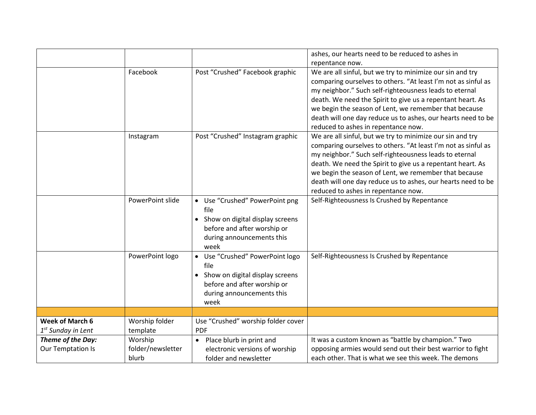|                                                |                                       |                                                                                                                                                  | ashes, our hearts need to be reduced to ashes in                                                                                                                                                                                                                                                                                                                                                                                                                                                                                                                                                                                                                                                                                                                                                  |
|------------------------------------------------|---------------------------------------|--------------------------------------------------------------------------------------------------------------------------------------------------|---------------------------------------------------------------------------------------------------------------------------------------------------------------------------------------------------------------------------------------------------------------------------------------------------------------------------------------------------------------------------------------------------------------------------------------------------------------------------------------------------------------------------------------------------------------------------------------------------------------------------------------------------------------------------------------------------------------------------------------------------------------------------------------------------|
|                                                |                                       |                                                                                                                                                  | repentance now.                                                                                                                                                                                                                                                                                                                                                                                                                                                                                                                                                                                                                                                                                                                                                                                   |
|                                                | Facebook<br>Instagram                 | Post "Crushed" Facebook graphic<br>Post "Crushed" Instagram graphic                                                                              | We are all sinful, but we try to minimize our sin and try<br>comparing ourselves to others. "At least I'm not as sinful as<br>my neighbor." Such self-righteousness leads to eternal<br>death. We need the Spirit to give us a repentant heart. As<br>we begin the season of Lent, we remember that because<br>death will one day reduce us to ashes, our hearts need to be<br>reduced to ashes in repentance now.<br>We are all sinful, but we try to minimize our sin and try<br>comparing ourselves to others. "At least I'm not as sinful as<br>my neighbor." Such self-righteousness leads to eternal<br>death. We need the Spirit to give us a repentant heart. As<br>we begin the season of Lent, we remember that because<br>death will one day reduce us to ashes, our hearts need to be |
|                                                |                                       |                                                                                                                                                  | reduced to ashes in repentance now.                                                                                                                                                                                                                                                                                                                                                                                                                                                                                                                                                                                                                                                                                                                                                               |
|                                                | PowerPoint slide                      | • Use "Crushed" PowerPoint png<br>file<br>• Show on digital display screens<br>before and after worship or<br>during announcements this<br>week  | Self-Righteousness Is Crushed by Repentance                                                                                                                                                                                                                                                                                                                                                                                                                                                                                                                                                                                                                                                                                                                                                       |
|                                                | PowerPoint logo                       | • Use "Crushed" PowerPoint logo<br>file<br>• Show on digital display screens<br>before and after worship or<br>during announcements this<br>week | Self-Righteousness Is Crushed by Repentance                                                                                                                                                                                                                                                                                                                                                                                                                                                                                                                                                                                                                                                                                                                                                       |
|                                                |                                       |                                                                                                                                                  |                                                                                                                                                                                                                                                                                                                                                                                                                                                                                                                                                                                                                                                                                                                                                                                                   |
| <b>Week of March 6</b><br>$1st$ Sunday in Lent | Worship folder<br>template            | Use "Crushed" worship folder cover<br><b>PDF</b>                                                                                                 |                                                                                                                                                                                                                                                                                                                                                                                                                                                                                                                                                                                                                                                                                                                                                                                                   |
| Theme of the Day:<br>Our Temptation Is         | Worship<br>folder/newsletter<br>blurb | • Place blurb in print and<br>electronic versions of worship<br>folder and newsletter                                                            | It was a custom known as "battle by champion." Two<br>opposing armies would send out their best warrior to fight<br>each other. That is what we see this week. The demons                                                                                                                                                                                                                                                                                                                                                                                                                                                                                                                                                                                                                         |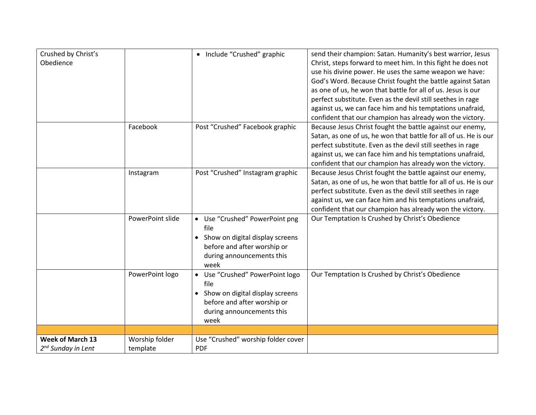| Crushed by Christ's            |                  | • Include "Crushed" graphic        | send their champion: Satan. Humanity's best warrior, Jesus       |
|--------------------------------|------------------|------------------------------------|------------------------------------------------------------------|
| Obedience                      |                  |                                    | Christ, steps forward to meet him. In this fight he does not     |
|                                |                  |                                    | use his divine power. He uses the same weapon we have:           |
|                                |                  |                                    | God's Word. Because Christ fought the battle against Satan       |
|                                |                  |                                    | as one of us, he won that battle for all of us. Jesus is our     |
|                                |                  |                                    | perfect substitute. Even as the devil still seethes in rage      |
|                                |                  |                                    | against us, we can face him and his temptations unafraid,        |
|                                |                  |                                    | confident that our champion has already won the victory.         |
|                                | Facebook         | Post "Crushed" Facebook graphic    | Because Jesus Christ fought the battle against our enemy,        |
|                                |                  |                                    | Satan, as one of us, he won that battle for all of us. He is our |
|                                |                  |                                    | perfect substitute. Even as the devil still seethes in rage      |
|                                |                  |                                    | against us, we can face him and his temptations unafraid,        |
|                                |                  |                                    | confident that our champion has already won the victory.         |
|                                | Instagram        | Post "Crushed" Instagram graphic   | Because Jesus Christ fought the battle against our enemy,        |
|                                |                  |                                    | Satan, as one of us, he won that battle for all of us. He is our |
|                                |                  |                                    | perfect substitute. Even as the devil still seethes in rage      |
|                                |                  |                                    | against us, we can face him and his temptations unafraid,        |
|                                |                  |                                    | confident that our champion has already won the victory.         |
|                                | PowerPoint slide | • Use "Crushed" PowerPoint png     | Our Temptation Is Crushed by Christ's Obedience                  |
|                                |                  | file                               |                                                                  |
|                                |                  | • Show on digital display screens  |                                                                  |
|                                |                  | before and after worship or        |                                                                  |
|                                |                  | during announcements this          |                                                                  |
|                                |                  | week                               |                                                                  |
|                                | PowerPoint logo  | • Use "Crushed" PowerPoint logo    | Our Temptation Is Crushed by Christ's Obedience                  |
|                                |                  | file                               |                                                                  |
|                                |                  | • Show on digital display screens  |                                                                  |
|                                |                  | before and after worship or        |                                                                  |
|                                |                  | during announcements this          |                                                                  |
|                                |                  | week                               |                                                                  |
|                                |                  |                                    |                                                                  |
| <b>Week of March 13</b>        | Worship folder   | Use "Crushed" worship folder cover |                                                                  |
| 2 <sup>nd</sup> Sunday in Lent | template         | <b>PDF</b>                         |                                                                  |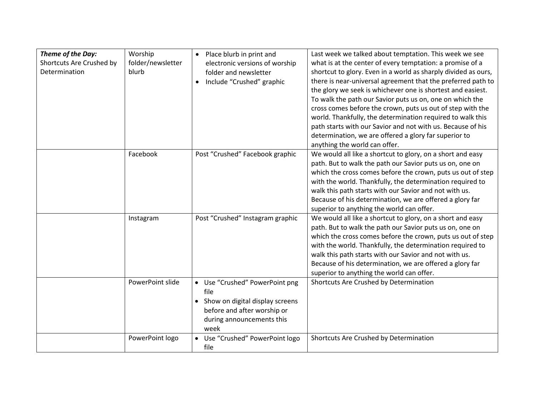| Theme of the Day:<br>Shortcuts Are Crushed by<br>Determination | Worship<br>folder/newsletter<br>blurb | • Place blurb in print and<br>electronic versions of worship<br>folder and newsletter<br>Include "Crushed" graphic                              | Last week we talked about temptation. This week we see<br>what is at the center of every temptation: a promise of a<br>shortcut to glory. Even in a world as sharply divided as ours,<br>there is near-universal agreement that the preferred path to<br>the glory we seek is whichever one is shortest and easiest.<br>To walk the path our Savior puts us on, one on which the<br>cross comes before the crown, puts us out of step with the<br>world. Thankfully, the determination required to walk this<br>path starts with our Savior and not with us. Because of his<br>determination, we are offered a glory far superior to<br>anything the world can offer. |
|----------------------------------------------------------------|---------------------------------------|-------------------------------------------------------------------------------------------------------------------------------------------------|-----------------------------------------------------------------------------------------------------------------------------------------------------------------------------------------------------------------------------------------------------------------------------------------------------------------------------------------------------------------------------------------------------------------------------------------------------------------------------------------------------------------------------------------------------------------------------------------------------------------------------------------------------------------------|
|                                                                | Facebook                              | Post "Crushed" Facebook graphic                                                                                                                 | We would all like a shortcut to glory, on a short and easy<br>path. But to walk the path our Savior puts us on, one on<br>which the cross comes before the crown, puts us out of step<br>with the world. Thankfully, the determination required to<br>walk this path starts with our Savior and not with us.<br>Because of his determination, we are offered a glory far<br>superior to anything the world can offer.                                                                                                                                                                                                                                                 |
|                                                                | Instagram                             | Post "Crushed" Instagram graphic                                                                                                                | We would all like a shortcut to glory, on a short and easy<br>path. But to walk the path our Savior puts us on, one on<br>which the cross comes before the crown, puts us out of step<br>with the world. Thankfully, the determination required to<br>walk this path starts with our Savior and not with us.<br>Because of his determination, we are offered a glory far<br>superior to anything the world can offer.                                                                                                                                                                                                                                                 |
|                                                                | PowerPoint slide                      | • Use "Crushed" PowerPoint png<br>file<br>• Show on digital display screens<br>before and after worship or<br>during announcements this<br>week | Shortcuts Are Crushed by Determination                                                                                                                                                                                                                                                                                                                                                                                                                                                                                                                                                                                                                                |
|                                                                | PowerPoint logo                       | • Use "Crushed" PowerPoint logo<br>file                                                                                                         | Shortcuts Are Crushed by Determination                                                                                                                                                                                                                                                                                                                                                                                                                                                                                                                                                                                                                                |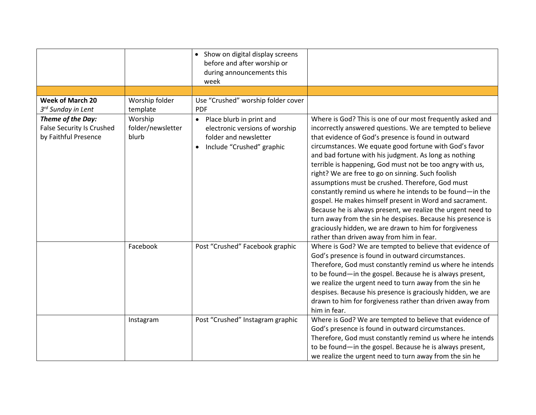|                                                                               |                                       | • Show on digital display screens<br>before and after worship or<br>during announcements this<br>week                           |                                                                                                                                                                                                                                                                                                                                                                                                                                                                                                                                                                                                                                                                                                                                                                                                                                     |
|-------------------------------------------------------------------------------|---------------------------------------|---------------------------------------------------------------------------------------------------------------------------------|-------------------------------------------------------------------------------------------------------------------------------------------------------------------------------------------------------------------------------------------------------------------------------------------------------------------------------------------------------------------------------------------------------------------------------------------------------------------------------------------------------------------------------------------------------------------------------------------------------------------------------------------------------------------------------------------------------------------------------------------------------------------------------------------------------------------------------------|
|                                                                               |                                       |                                                                                                                                 |                                                                                                                                                                                                                                                                                                                                                                                                                                                                                                                                                                                                                                                                                                                                                                                                                                     |
| <b>Week of March 20</b><br>3 <sup>rd</sup> Sunday in Lent                     | Worship folder<br>template            | Use "Crushed" worship folder cover<br><b>PDF</b>                                                                                |                                                                                                                                                                                                                                                                                                                                                                                                                                                                                                                                                                                                                                                                                                                                                                                                                                     |
| Theme of the Day:<br><b>False Security Is Crushed</b><br>by Faithful Presence | Worship<br>folder/newsletter<br>blurb | • Place blurb in print and<br>electronic versions of worship<br>folder and newsletter<br>Include "Crushed" graphic<br>$\bullet$ | Where is God? This is one of our most frequently asked and<br>incorrectly answered questions. We are tempted to believe<br>that evidence of God's presence is found in outward<br>circumstances. We equate good fortune with God's favor<br>and bad fortune with his judgment. As long as nothing<br>terrible is happening, God must not be too angry with us,<br>right? We are free to go on sinning. Such foolish<br>assumptions must be crushed. Therefore, God must<br>constantly remind us where he intends to be found-in the<br>gospel. He makes himself present in Word and sacrament.<br>Because he is always present, we realize the urgent need to<br>turn away from the sin he despises. Because his presence is<br>graciously hidden, we are drawn to him for forgiveness<br>rather than driven away from him in fear. |
|                                                                               | Facebook                              | Post "Crushed" Facebook graphic                                                                                                 | Where is God? We are tempted to believe that evidence of<br>God's presence is found in outward circumstances.<br>Therefore, God must constantly remind us where he intends<br>to be found-in the gospel. Because he is always present,<br>we realize the urgent need to turn away from the sin he<br>despises. Because his presence is graciously hidden, we are<br>drawn to him for forgiveness rather than driven away from<br>him in fear.                                                                                                                                                                                                                                                                                                                                                                                       |
|                                                                               | Instagram                             | Post "Crushed" Instagram graphic                                                                                                | Where is God? We are tempted to believe that evidence of<br>God's presence is found in outward circumstances.<br>Therefore, God must constantly remind us where he intends<br>to be found-in the gospel. Because he is always present,<br>we realize the urgent need to turn away from the sin he                                                                                                                                                                                                                                                                                                                                                                                                                                                                                                                                   |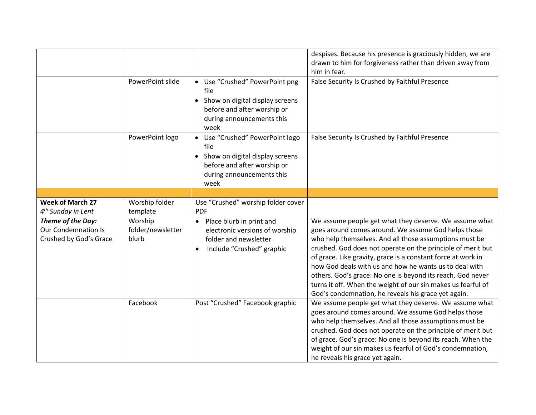|                                                                           | PowerPoint slide                      | • Use "Crushed" PowerPoint png<br>file<br>• Show on digital display screens<br>before and after worship or<br>during announcements this<br>week  | despises. Because his presence is graciously hidden, we are<br>drawn to him for forgiveness rather than driven away from<br>him in fear.<br>False Security Is Crushed by Faithful Presence                                                                                                                                                                                                                                                                                                                                                            |
|---------------------------------------------------------------------------|---------------------------------------|--------------------------------------------------------------------------------------------------------------------------------------------------|-------------------------------------------------------------------------------------------------------------------------------------------------------------------------------------------------------------------------------------------------------------------------------------------------------------------------------------------------------------------------------------------------------------------------------------------------------------------------------------------------------------------------------------------------------|
|                                                                           | PowerPoint logo                       | • Use "Crushed" PowerPoint logo<br>file<br>• Show on digital display screens<br>before and after worship or<br>during announcements this<br>week | False Security Is Crushed by Faithful Presence                                                                                                                                                                                                                                                                                                                                                                                                                                                                                                        |
|                                                                           |                                       |                                                                                                                                                  |                                                                                                                                                                                                                                                                                                                                                                                                                                                                                                                                                       |
| <b>Week of March 27</b><br>$4th$ Sunday in Lent                           | Worship folder<br>template            | Use "Crushed" worship folder cover<br><b>PDF</b>                                                                                                 |                                                                                                                                                                                                                                                                                                                                                                                                                                                                                                                                                       |
| Theme of the Day:<br><b>Our Condemnation Is</b><br>Crushed by God's Grace | Worship<br>folder/newsletter<br>blurb | • Place blurb in print and<br>electronic versions of worship<br>folder and newsletter<br>Include "Crushed" graphic                               | We assume people get what they deserve. We assume what<br>goes around comes around. We assume God helps those<br>who help themselves. And all those assumptions must be<br>crushed. God does not operate on the principle of merit but<br>of grace. Like gravity, grace is a constant force at work in<br>how God deals with us and how he wants us to deal with<br>others. God's grace: No one is beyond its reach. God never<br>turns it off. When the weight of our sin makes us fearful of<br>God's condemnation, he reveals his grace yet again. |
|                                                                           | Facebook                              | Post "Crushed" Facebook graphic                                                                                                                  | We assume people get what they deserve. We assume what<br>goes around comes around. We assume God helps those<br>who help themselves. And all those assumptions must be<br>crushed. God does not operate on the principle of merit but<br>of grace. God's grace: No one is beyond its reach. When the<br>weight of our sin makes us fearful of God's condemnation,<br>he reveals his grace yet again.                                                                                                                                                 |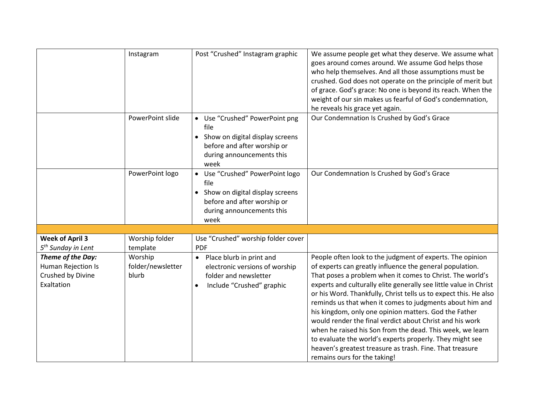|                                                                            | Instagram                             | Post "Crushed" Instagram graphic                                                                                                                 | We assume people get what they deserve. We assume what<br>goes around comes around. We assume God helps those<br>who help themselves. And all those assumptions must be<br>crushed. God does not operate on the principle of merit but<br>of grace. God's grace: No one is beyond its reach. When the<br>weight of our sin makes us fearful of God's condemnation,<br>he reveals his grace yet again.                                                                                                                                                                                                                                                                                                                             |
|----------------------------------------------------------------------------|---------------------------------------|--------------------------------------------------------------------------------------------------------------------------------------------------|-----------------------------------------------------------------------------------------------------------------------------------------------------------------------------------------------------------------------------------------------------------------------------------------------------------------------------------------------------------------------------------------------------------------------------------------------------------------------------------------------------------------------------------------------------------------------------------------------------------------------------------------------------------------------------------------------------------------------------------|
|                                                                            | PowerPoint slide                      | • Use "Crushed" PowerPoint png<br>file<br>• Show on digital display screens<br>before and after worship or<br>during announcements this<br>week  | Our Condemnation Is Crushed by God's Grace                                                                                                                                                                                                                                                                                                                                                                                                                                                                                                                                                                                                                                                                                        |
|                                                                            | PowerPoint logo                       | • Use "Crushed" PowerPoint logo<br>file<br>• Show on digital display screens<br>before and after worship or<br>during announcements this<br>week | Our Condemnation Is Crushed by God's Grace                                                                                                                                                                                                                                                                                                                                                                                                                                                                                                                                                                                                                                                                                        |
|                                                                            |                                       |                                                                                                                                                  |                                                                                                                                                                                                                                                                                                                                                                                                                                                                                                                                                                                                                                                                                                                                   |
| <b>Week of April 3</b><br>5 <sup>th</sup> Sunday in Lent                   | Worship folder<br>template            | Use "Crushed" worship folder cover<br><b>PDF</b>                                                                                                 |                                                                                                                                                                                                                                                                                                                                                                                                                                                                                                                                                                                                                                                                                                                                   |
| Theme of the Day:<br>Human Rejection Is<br>Crushed by Divine<br>Exaltation | Worship<br>folder/newsletter<br>blurb | • Place blurb in print and<br>electronic versions of worship<br>folder and newsletter<br>Include "Crushed" graphic<br>$\bullet$                  | People often look to the judgment of experts. The opinion<br>of experts can greatly influence the general population.<br>That poses a problem when it comes to Christ. The world's<br>experts and culturally elite generally see little value in Christ<br>or his Word. Thankfully, Christ tells us to expect this. He also<br>reminds us that when it comes to judgments about him and<br>his kingdom, only one opinion matters. God the Father<br>would render the final verdict about Christ and his work<br>when he raised his Son from the dead. This week, we learn<br>to evaluate the world's experts properly. They might see<br>heaven's greatest treasure as trash. Fine. That treasure<br>remains ours for the taking! |